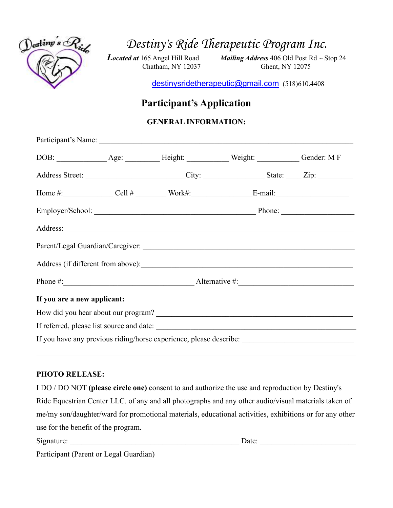

*Destiny's Ride Therapeutic Program Inc.*

*Located at* 165 Angel Hill Road *Mailing Address* 406 Old Post Rd ~ Stop 24 Chatham, NY 12037 Ghent, NY 12075

[destinysridetherapeutic@gmail.com](mailto:destinysridetherapeutic@gmail.com) (518)610.4408

# **Participant's Application**

## **GENERAL INFORMATION:**

|                                                                                                     |  |  | Address Street: City: City: State: Zip: Zip:                                                                                                                                                                                   |  |  |
|-----------------------------------------------------------------------------------------------------|--|--|--------------------------------------------------------------------------------------------------------------------------------------------------------------------------------------------------------------------------------|--|--|
|                                                                                                     |  |  | Home $\#$ : Cell $\#$ Cell $\#$ Work#: E-mail:                                                                                                                                                                                 |  |  |
|                                                                                                     |  |  | Employer/School: Phone: Phone: Phone: Phone: Phone: Phone: Phone: Phone: Phone: Phone: Phone: Phone: Phone: Phone: Phone: Phone: Phone: Phone: Phone: Phone: Phone: Phone: Phone: Phone: Phone: Phone: Phone: Phone: Phone: Ph |  |  |
|                                                                                                     |  |  |                                                                                                                                                                                                                                |  |  |
|                                                                                                     |  |  |                                                                                                                                                                                                                                |  |  |
|                                                                                                     |  |  |                                                                                                                                                                                                                                |  |  |
|                                                                                                     |  |  | Phone #: Alternative #: Alternative #:                                                                                                                                                                                         |  |  |
| If you are a new applicant:                                                                         |  |  |                                                                                                                                                                                                                                |  |  |
|                                                                                                     |  |  |                                                                                                                                                                                                                                |  |  |
|                                                                                                     |  |  |                                                                                                                                                                                                                                |  |  |
| If you have any previous riding/horse experience, please describe: ________________________________ |  |  |                                                                                                                                                                                                                                |  |  |

### **PHOTO RELEASE:**

I DO / DO NOT **(please circle one)** consent to and authorize the use and reproduction by Destiny's Ride Equestrian Center LLC. of any and all photographs and any other audio/visual materials taken of me/my son/daughter/ward for promotional materials, educational activities, exhibitions or for any other use for the benefit of the program.

| Signature:                             | Date: |  |
|----------------------------------------|-------|--|
| Participant (Parent or Legal Guardian) |       |  |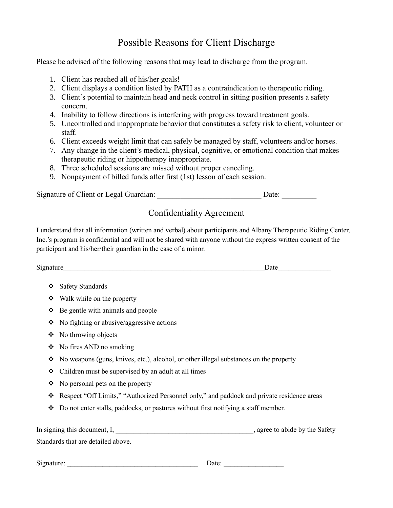# Possible Reasons for Client Discharge

Please be advised of the following reasons that may lead to discharge from the program.

- 1. Client has reached all of his/her goals!
- 2. Client displays a condition listed by PATH as a contraindication to therapeutic riding.
- 3. Client's potential to maintain head and neck control in sitting position presents a safety concern.
- 4. Inability to follow directions is interfering with progress toward treatment goals.
- 5. Uncontrolled and inappropriate behavior that constitutes a safety risk to client, volunteer or staff.
- 6. Client exceeds weight limit that can safely be managed by staff, volunteers and/or horses.
- 7. Any change in the client's medical, physical, cognitive, or emotional condition that makes therapeutic riding or hippotherapy inappropriate.
- 8. Three scheduled sessions are missed without proper canceling.
- 9. Nonpayment of billed funds after first (1st) lesson of each session.

Signature of Client or Legal Guardian: \_\_\_\_\_\_\_\_\_\_\_\_\_\_\_\_\_\_\_\_\_\_\_\_\_\_\_\_\_\_\_\_\_\_\_ Date: \_\_\_\_\_\_\_\_\_\_\_\_\_\_\_\_\_\_

## Confidentiality Agreement

I understand that all information (written and verbal) about participants and Albany Therapeutic Riding Center, Inc.'s program is confidential and will not be shared with anyone without the express written consent of the participant and his/her/their guardian in the case of a minor.

|   | Date                                                                                       |
|---|--------------------------------------------------------------------------------------------|
| ❖ | <b>Safety Standards</b>                                                                    |
| ❖ | Walk while on the property                                                                 |
| ❖ | Be gentle with animals and people                                                          |
| ❖ | No fighting or abusive/aggressive actions                                                  |
| ❖ | No throwing objects                                                                        |
| ❖ | No fires AND no smoking                                                                    |
| ❖ | No weapons (guns, knives, etc.), alcohol, or other illegal substances on the property      |
| ❖ | Children must be supervised by an adult at all times                                       |
| ❖ | No personal pets on the property                                                           |
| ❖ | Respect "Off Limits," "Authorized Personnel only," and paddock and private residence areas |
| ❖ | Do not enter stalls, paddocks, or pastures without first notifying a staff member.         |
|   | In signing this document, I,<br>, agree to abide by the Safety                             |
|   | Standards that are detailed above.                                                         |